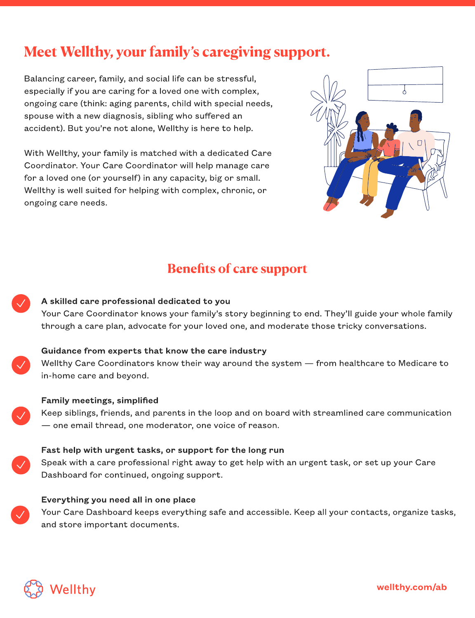# Meet Wellthy, your family's caregiving support.

Balancing career, family, and social life can be stressful, especially if you are caring for a loved one with complex, ongoing care (think: aging parents, child with special needs, spouse with a new diagnosis, sibling who suffered an accident). But you're not alone, Wellthy is here to help.

With Wellthy, your family is matched with a dedicated Care Coordinator. Your Care Coordinator will help manage care for a loved one (or yourself) in any capacity, big or small. Wellthy is well suited for helping with complex, chronic, or ongoing care needs.



# Benefits of care support

### A skilled care professional dedicated to you Your Care Coordinator knows your family's story beginning to end. They'll guide your whole family through a care plan, advocate for your loved one, and moderate those tricky conversations.



#### Guidance from experts that know the care industry

Wellthy Care Coordinators know their way around the system — from healthcare to Medicare to in-home care and beyond.



#### Family meetings, simplified

Keep siblings, friends, and parents in the loop and on board with streamlined care communication — one email thread, one moderator, one voice of reason.





#### Everything you need all in one place

Your Care Dashboard keeps everything safe and accessible. Keep all your contacts, organize tasks, and store important documents.